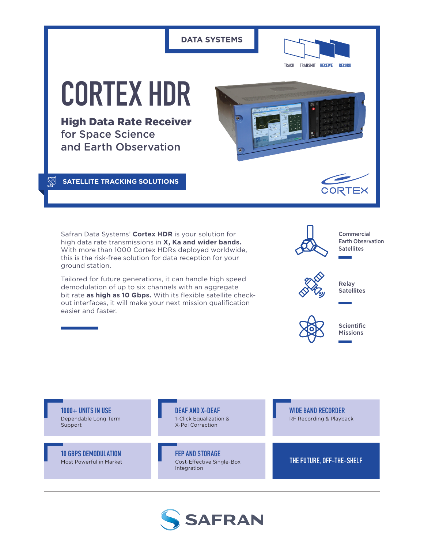